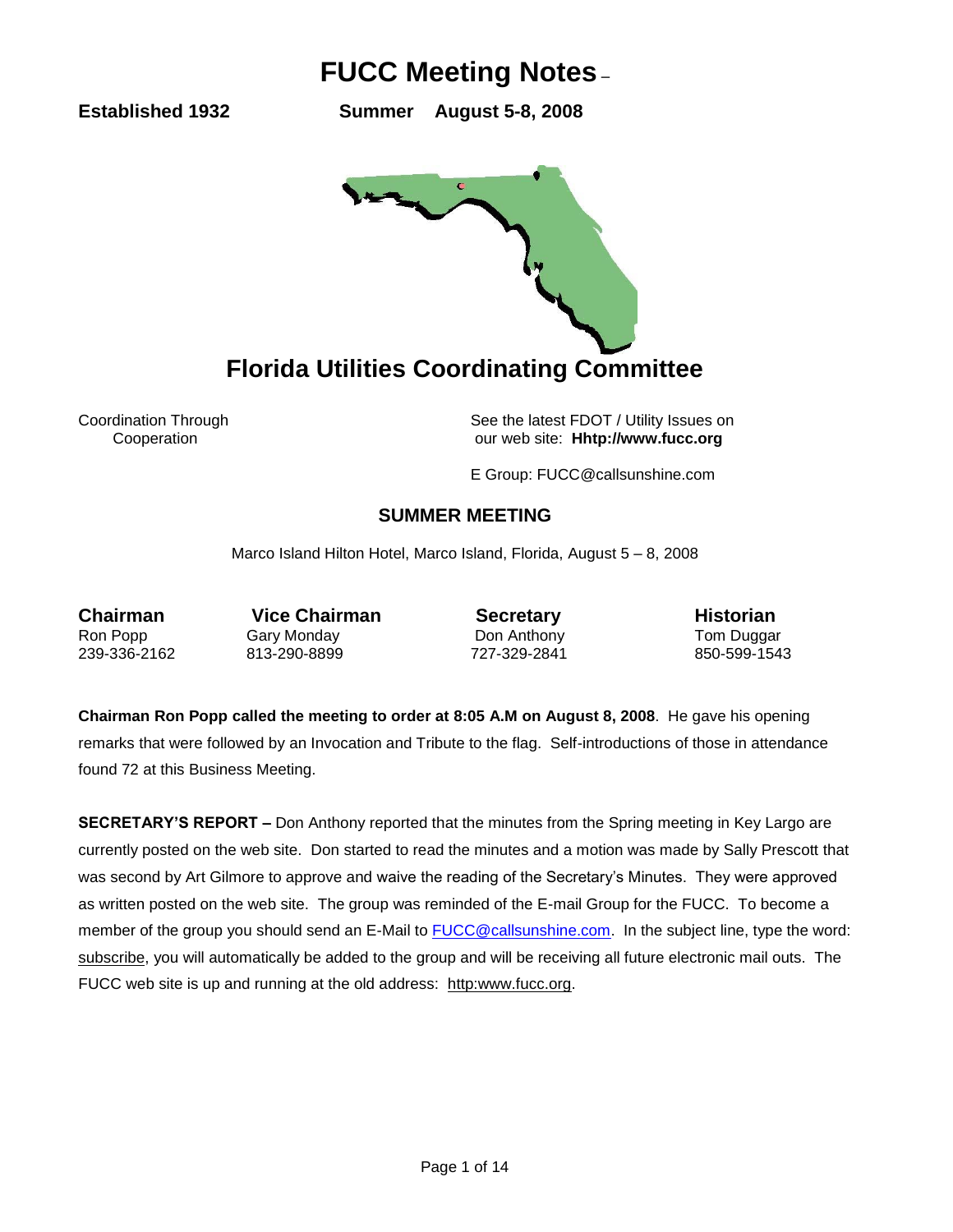**Established 1932 Summer August 5-8, 2008** 



Coordination Through See the latest FDOT / Utility Issues on Cooperation our web site: **Hhtp://www.fucc.org**

E Group: FUCC@callsunshine.com

### **SUMMER MEETING**

Marco Island Hilton Hotel, Marco Island, Florida, August 5 – 8, 2008

**Chairman** Vice Chairman **Secretary Historian** Ron Popp Gary Monday **Don Anthony** Tom Duggar 239-336-2162 813-290-8899 727-329-2841 850-599-1543

**Chairman Ron Popp called the meeting to order at 8:05 A.M on August 8, 2008**. He gave his opening remarks that were followed by an Invocation and Tribute to the flag. Self-introductions of those in attendance found 72 at this Business Meeting.

**SECRETARY'S REPORT –** Don Anthony reported that the minutes from the Spring meeting in Key Largo are currently posted on the web site. Don started to read the minutes and a motion was made by Sally Prescott that was second by Art Gilmore to approve and waive the reading of the Secretary's Minutes. They were approved as written posted on the web site. The group was reminded of the E-mail Group for the FUCC. To become a member of the group you should send an E-Mail to [FUCC@callsunshine.com.](mailto:FUCC@callsunshine.com) In the subject line, type the word: subscribe, you will automatically be added to the group and will be receiving all future electronic mail outs. The FUCC web site is up and running at the old address: http:www.fucc.org.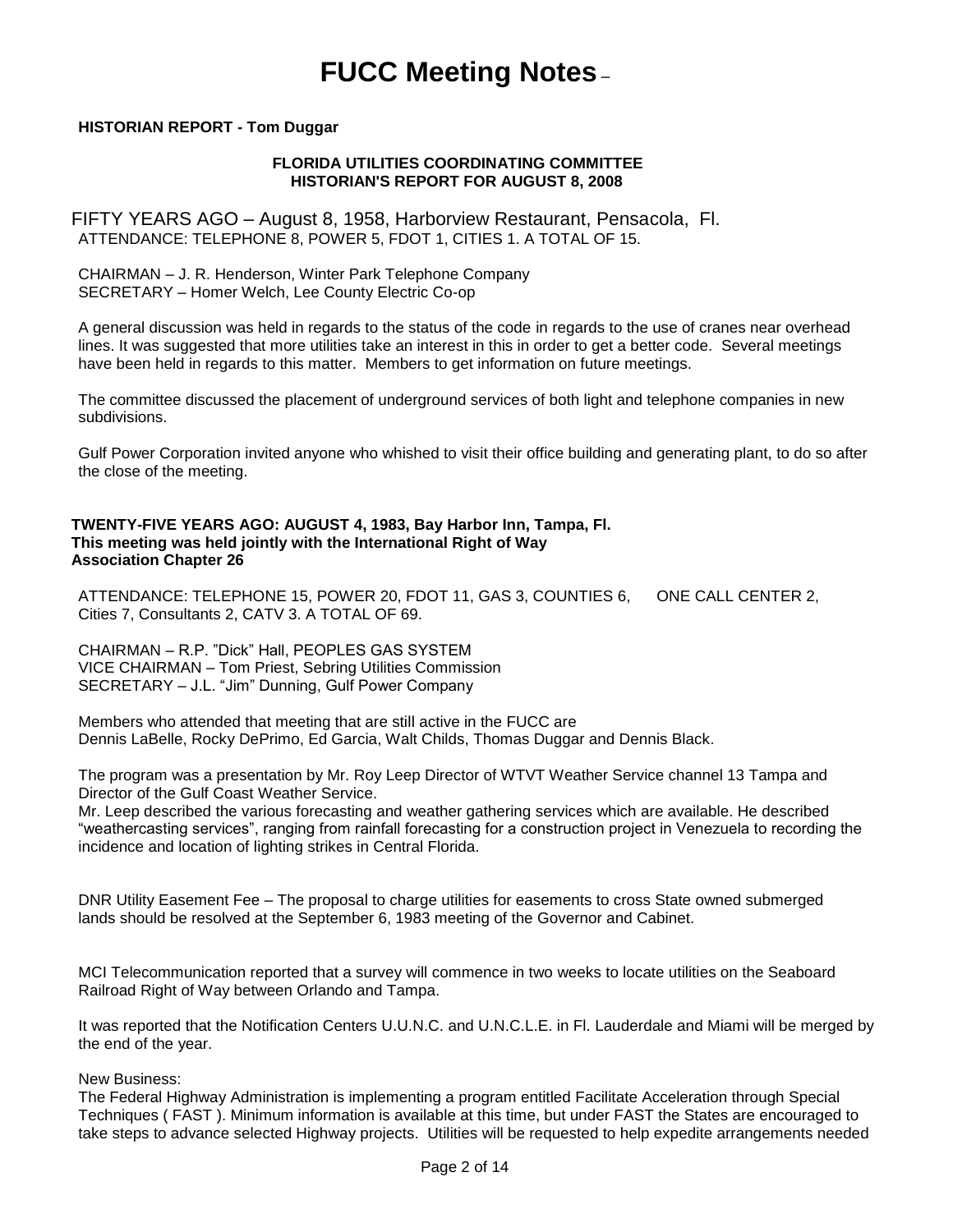### **HISTORIAN REPORT - Tom Duggar**

### **FLORIDA UTILITIES COORDINATING COMMITTEE HISTORIAN'S REPORT FOR AUGUST 8, 2008**

FIFTY YEARS AGO – August 8, 1958, Harborview Restaurant, Pensacola, Fl. ATTENDANCE: TELEPHONE 8, POWER 5, FDOT 1, CITIES 1. A TOTAL OF 15.

CHAIRMAN – J. R. Henderson, Winter Park Telephone Company SECRETARY – Homer Welch, Lee County Electric Co-op

A general discussion was held in regards to the status of the code in regards to the use of cranes near overhead lines. It was suggested that more utilities take an interest in this in order to get a better code. Several meetings have been held in regards to this matter. Members to get information on future meetings.

The committee discussed the placement of underground services of both light and telephone companies in new subdivisions.

Gulf Power Corporation invited anyone who whished to visit their office building and generating plant, to do so after the close of the meeting.

### **TWENTY-FIVE YEARS AGO: AUGUST 4, 1983, Bay Harbor Inn, Tampa, Fl. This meeting was held jointly with the International Right of Way Association Chapter 26**

ATTENDANCE: TELEPHONE 15, POWER 20, FDOT 11, GAS 3, COUNTIES 6, ONE CALL CENTER 2, Cities 7, Consultants 2, CATV 3. A TOTAL OF 69.

CHAIRMAN – R.P. "Dick" Hall, PEOPLES GAS SYSTEM VICE CHAIRMAN – Tom Priest, Sebring Utilities Commission SECRETARY – J.L. "Jim" Dunning, Gulf Power Company

Members who attended that meeting that are still active in the FUCC are Dennis LaBelle, Rocky DePrimo, Ed Garcia, Walt Childs, Thomas Duggar and Dennis Black.

The program was a presentation by Mr. Roy Leep Director of WTVT Weather Service channel 13 Tampa and Director of the Gulf Coast Weather Service.

Mr. Leep described the various forecasting and weather gathering services which are available. He described "weathercasting services", ranging from rainfall forecasting for a construction project in Venezuela to recording the incidence and location of lighting strikes in Central Florida.

DNR Utility Easement Fee – The proposal to charge utilities for easements to cross State owned submerged lands should be resolved at the September 6, 1983 meeting of the Governor and Cabinet.

MCI Telecommunication reported that a survey will commence in two weeks to locate utilities on the Seaboard Railroad Right of Way between Orlando and Tampa.

It was reported that the Notification Centers U.U.N.C. and U.N.C.L.E. in Fl. Lauderdale and Miami will be merged by the end of the year.

New Business:

The Federal Highway Administration is implementing a program entitled Facilitate Acceleration through Special Techniques ( FAST ). Minimum information is available at this time, but under FAST the States are encouraged to take steps to advance selected Highway projects. Utilities will be requested to help expedite arrangements needed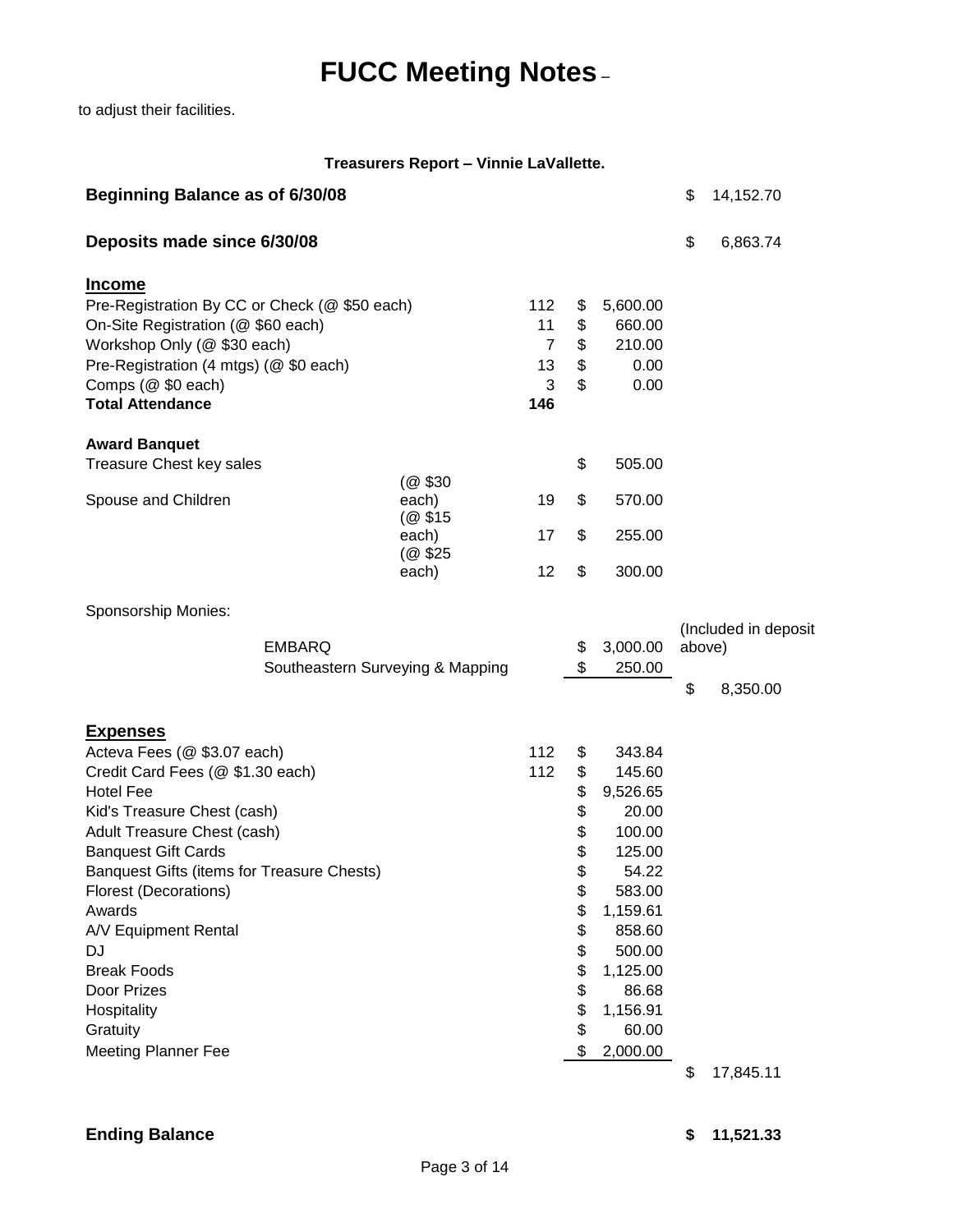to adjust their facilities.

### **Treasurers Report – Vinnie LaVallette.**

| Beginning Balance as of 6/30/08                                                                                                                                                                                                                                                                                                                                                                                        |                            |                                               |                                                                                              |                                                                                                                                                                    | \$           | 14,152.70                        |
|------------------------------------------------------------------------------------------------------------------------------------------------------------------------------------------------------------------------------------------------------------------------------------------------------------------------------------------------------------------------------------------------------------------------|----------------------------|-----------------------------------------------|----------------------------------------------------------------------------------------------|--------------------------------------------------------------------------------------------------------------------------------------------------------------------|--------------|----------------------------------|
| Deposits made since 6/30/08                                                                                                                                                                                                                                                                                                                                                                                            |                            |                                               |                                                                                              |                                                                                                                                                                    | \$           | 6,863.74                         |
| <u>Income</u><br>Pre-Registration By CC or Check (@ \$50 each)<br>On-Site Registration (@ \$60 each)<br>Workshop Only (@ \$30 each)<br>Pre-Registration (4 mtgs) (@ \$0 each)<br>Comps (@ \$0 each)<br><b>Total Attendance</b>                                                                                                                                                                                         |                            | 112<br>11<br>$\overline{7}$<br>13<br>3<br>146 | \$<br>\$<br>\$<br>\$<br>\$                                                                   | 5,600.00<br>660.00<br>210.00<br>0.00<br>0.00                                                                                                                       |              |                                  |
| <b>Award Banquet</b><br>Treasure Chest key sales                                                                                                                                                                                                                                                                                                                                                                       |                            |                                               | \$                                                                                           | 505.00                                                                                                                                                             |              |                                  |
| Spouse and Children                                                                                                                                                                                                                                                                                                                                                                                                    | (@ \$30<br>each)<br>(@\$15 | 19                                            | \$                                                                                           | 570.00                                                                                                                                                             |              |                                  |
|                                                                                                                                                                                                                                                                                                                                                                                                                        | each)<br>(@ \$25)          | 17                                            | \$                                                                                           | 255.00                                                                                                                                                             |              |                                  |
| Sponsorship Monies:                                                                                                                                                                                                                                                                                                                                                                                                    | each)                      | 12                                            | \$                                                                                           | 300.00                                                                                                                                                             |              |                                  |
| <b>EMBARQ</b><br>Southeastern Surveying & Mapping                                                                                                                                                                                                                                                                                                                                                                      |                            |                                               | \$<br>\$                                                                                     | 3,000.00<br>250.00                                                                                                                                                 | above)<br>\$ | (Included in deposit<br>8,350.00 |
| <u>Expenses</u><br>Acteva Fees (@ \$3.07 each)<br>Credit Card Fees (@ \$1.30 each)<br><b>Hotel Fee</b><br>Kid's Treasure Chest (cash)<br>Adult Treasure Chest (cash)<br><b>Banquest Gift Cards</b><br>Banquest Gifts (items for Treasure Chests)<br><b>Florest (Decorations)</b><br>Awards<br>A/V Equipment Rental<br>DJ<br><b>Break Foods</b><br>Door Prizes<br>Hospitality<br>Gratuity<br><b>Meeting Planner Fee</b> |                            | 112<br>112                                    | \$<br>\$<br>\$<br>\$<br>\$<br>\$<br>\$<br>\$<br>\$<br>\$<br>\$<br>\$<br>\$<br>\$<br>\$<br>\$ | 343.84<br>145.60<br>9,526.65<br>20.00<br>100.00<br>125.00<br>54.22<br>583.00<br>1,159.61<br>858.60<br>500.00<br>1,125.00<br>86.68<br>1,156.91<br>60.00<br>2,000.00 | \$           | 17,845.11                        |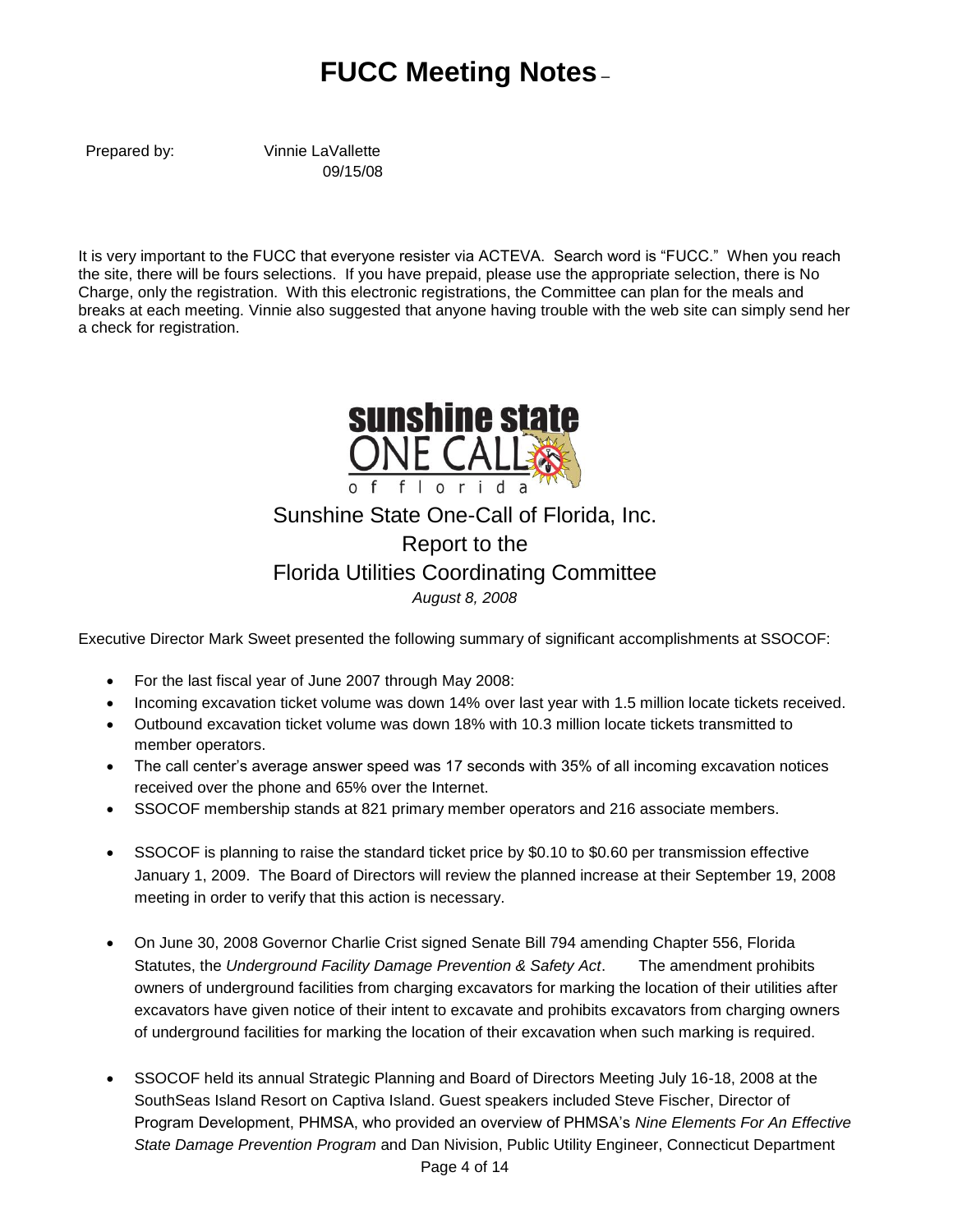Prepared by: Vinnie LaVallette 09/15/08

It is very important to the FUCC that everyone resister via ACTEVA. Search word is "FUCC." When you reach the site, there will be fours selections. If you have prepaid, please use the appropriate selection, there is No Charge, only the registration. With this electronic registrations, the Committee can plan for the meals and breaks at each meeting. Vinnie also suggested that anyone having trouble with the web site can simply send her a check for registration.



## Sunshine State One-Call of Florida, Inc. Report to the Florida Utilities Coordinating Committee *August 8, 2008*

Executive Director Mark Sweet presented the following summary of significant accomplishments at SSOCOF:

- For the last fiscal year of June 2007 through May 2008:
- Incoming excavation ticket volume was down 14% over last year with 1.5 million locate tickets received.
- Outbound excavation ticket volume was down 18% with 10.3 million locate tickets transmitted to member operators.
- The call center's average answer speed was 17 seconds with 35% of all incoming excavation notices received over the phone and 65% over the Internet.
- SSOCOF membership stands at 821 primary member operators and 216 associate members.
- SSOCOF is planning to raise the standard ticket price by \$0.10 to \$0.60 per transmission effective January 1, 2009. The Board of Directors will review the planned increase at their September 19, 2008 meeting in order to verify that this action is necessary.
- On June 30, 2008 Governor Charlie Crist signed Senate Bill 794 amending Chapter 556, Florida Statutes, the *Underground Facility Damage Prevention & Safety Act*. The amendment prohibits owners of underground facilities from charging excavators for marking the location of their utilities after excavators have given notice of their intent to excavate and prohibits excavators from charging owners of underground facilities for marking the location of their excavation when such marking is required.
- SSOCOF held its annual Strategic Planning and Board of Directors Meeting July 16-18, 2008 at the SouthSeas Island Resort on Captiva Island. Guest speakers included Steve Fischer, Director of Program Development, PHMSA, who provided an overview of PHMSA's *Nine Elements For An Effective State Damage Prevention Program* and Dan Nivision, Public Utility Engineer, Connecticut Department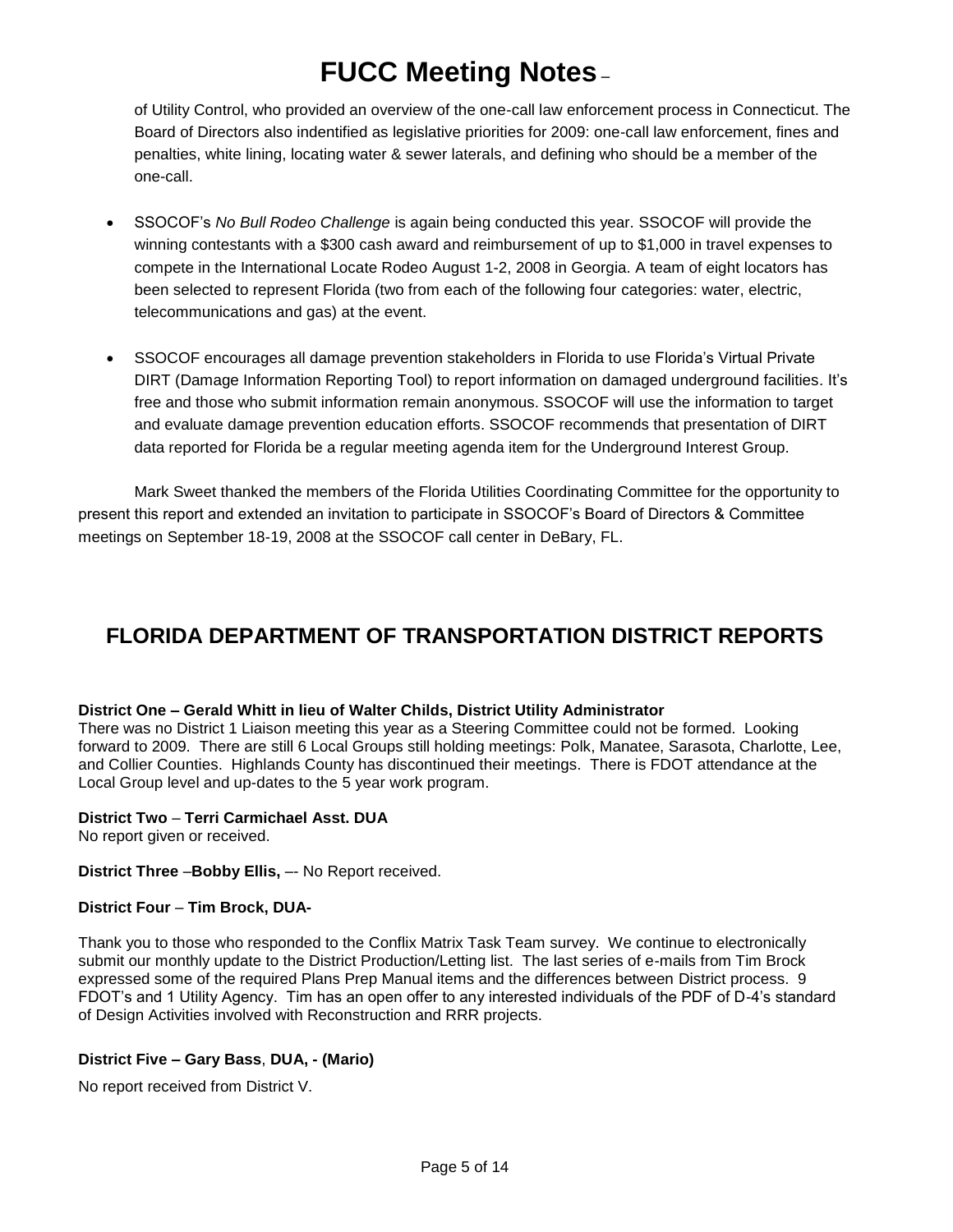of Utility Control, who provided an overview of the one-call law enforcement process in Connecticut. The Board of Directors also indentified as legislative priorities for 2009: one-call law enforcement, fines and penalties, white lining, locating water & sewer laterals, and defining who should be a member of the one-call.

- SSOCOF's *No Bull Rodeo Challenge* is again being conducted this year. SSOCOF will provide the winning contestants with a \$300 cash award and reimbursement of up to \$1,000 in travel expenses to compete in the International Locate Rodeo August 1-2, 2008 in Georgia. A team of eight locators has been selected to represent Florida (two from each of the following four categories: water, electric, telecommunications and gas) at the event.
- SSOCOF encourages all damage prevention stakeholders in Florida to use Florida's Virtual Private DIRT (Damage Information Reporting Tool) to report information on damaged underground facilities. It's free and those who submit information remain anonymous. SSOCOF will use the information to target and evaluate damage prevention education efforts. SSOCOF recommends that presentation of DIRT data reported for Florida be a regular meeting agenda item for the Underground Interest Group.

Mark Sweet thanked the members of the Florida Utilities Coordinating Committee for the opportunity to present this report and extended an invitation to participate in SSOCOF's Board of Directors & Committee meetings on September 18-19, 2008 at the SSOCOF call center in DeBary, FL.

## **FLORIDA DEPARTMENT OF TRANSPORTATION DISTRICT REPORTS**

### **District One – Gerald Whitt in lieu of Walter Childs, District Utility Administrator**

There was no District 1 Liaison meeting this year as a Steering Committee could not be formed. Looking forward to 2009. There are still 6 Local Groups still holding meetings: Polk, Manatee, Sarasota, Charlotte, Lee, and Collier Counties. Highlands County has discontinued their meetings. There is FDOT attendance at the Local Group level and up-dates to the 5 year work program.

### **District Two** – **Terri Carmichael Asst. DUA**

No report given or received.

### **District Three** –**Bobby Ellis,** –- No Report received.

### **District Four** – **Tim Brock, DUA-**

Thank you to those who responded to the Conflix Matrix Task Team survey. We continue to electronically submit our monthly update to the District Production/Letting list. The last series of e-mails from Tim Brock expressed some of the required Plans Prep Manual items and the differences between District process. 9 FDOT's and 1 Utility Agency. Tim has an open offer to any interested individuals of the PDF of D-4's standard of Design Activities involved with Reconstruction and RRR projects.

### **District Five – Gary Bass**, **DUA, - (Mario)**

No report received from District V.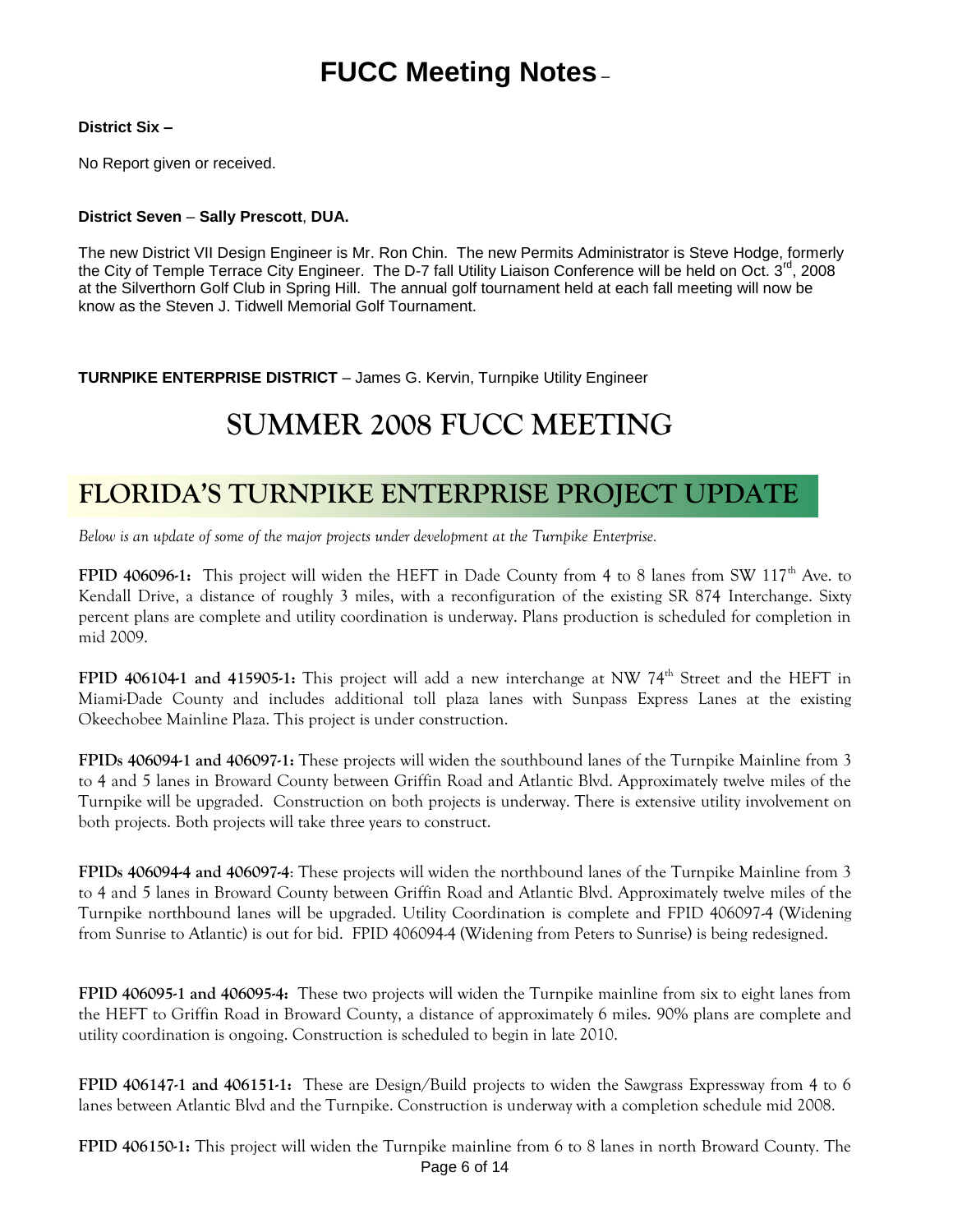### **District Six –**

No Report given or received.

### **District Seven** – **Sally Prescott**, **DUA.**

The new District VII Design Engineer is Mr. Ron Chin. The new Permits Administrator is Steve Hodge, formerly the City of Temple Terrace City Engineer. The D-7 fall Utility Liaison Conference will be held on Oct. 3<sup>rd</sup>, 2008 at the Silverthorn Golf Club in Spring Hill. The annual golf tournament held at each fall meeting will now be know as the Steven J. Tidwell Memorial Golf Tournament.

**TURNPIKE ENTERPRISE DISTRICT** – James G. Kervin, Turnpike Utility Engineer

# **SUMMER 2008 FUCC MEETING**

## **FLORIDA'S TURNPIKE ENTERPRISE PROJECT UPDATE**

*Below is an update of some of the major projects under development at the Turnpike Enterprise.*

**FPID 406096-1:** This project will widen the HEFT in Dade County from 4 to 8 lanes from SW 117<sup>th</sup> Ave. to Kendall Drive, a distance of roughly 3 miles, with a reconfiguration of the existing SR 874 Interchange. Sixty percent plans are complete and utility coordination is underway. Plans production is scheduled for completion in mid 2009.

**FPID 406104-1 and 415905-1:** This project will add a new interchange at NW 74<sup>th</sup> Street and the HEFT in Miami-Dade County and includes additional toll plaza lanes with Sunpass Express Lanes at the existing Okeechobee Mainline Plaza. This project is under construction.

**FPIDs 406094-1 and 406097-1:** These projects will widen the southbound lanes of the Turnpike Mainline from 3 to 4 and 5 lanes in Broward County between Griffin Road and Atlantic Blvd. Approximately twelve miles of the Turnpike will be upgraded. Construction on both projects is underway. There is extensive utility involvement on both projects. Both projects will take three years to construct.

**FPIDs 406094-4 and 406097-4**: These projects will widen the northbound lanes of the Turnpike Mainline from 3 to 4 and 5 lanes in Broward County between Griffin Road and Atlantic Blvd. Approximately twelve miles of the Turnpike northbound lanes will be upgraded. Utility Coordination is complete and FPID 406097-4 (Widening from Sunrise to Atlantic) is out for bid. FPID 406094-4 (Widening from Peters to Sunrise) is being redesigned.

**FPID 406095-1 and 406095-4:** These two projects will widen the Turnpike mainline from six to eight lanes from the HEFT to Griffin Road in Broward County, a distance of approximately 6 miles. 90% plans are complete and utility coordination is ongoing. Construction is scheduled to begin in late 2010.

**FPID 406147-1 and 406151-1:** These are Design/Build projects to widen the Sawgrass Expressway from 4 to 6 lanes between Atlantic Blvd and the Turnpike. Construction is underway with a completion schedule mid 2008.

Page 6 of 14 **FPID 406150-1:** This project will widen the Turnpike mainline from 6 to 8 lanes in north Broward County. The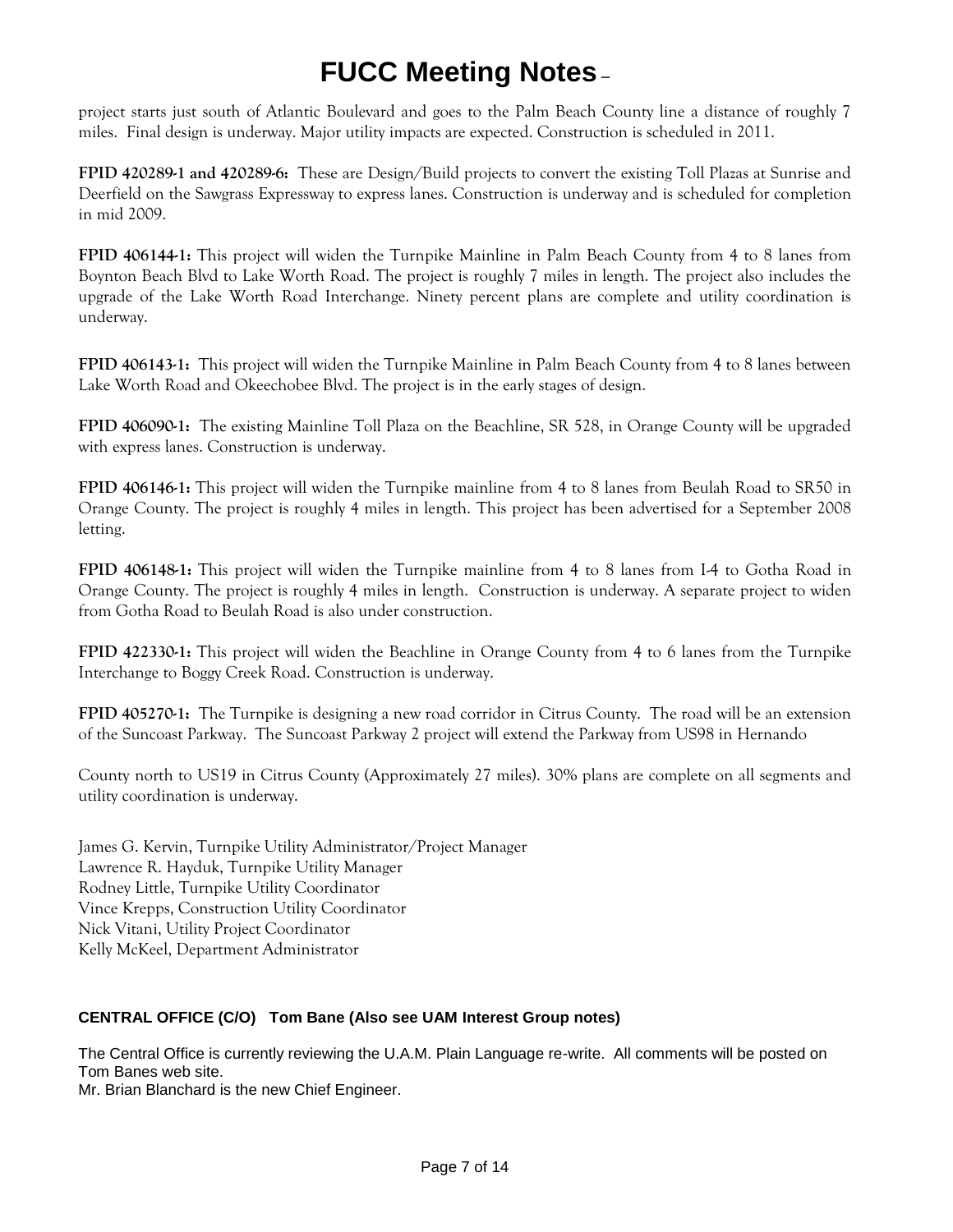project starts just south of Atlantic Boulevard and goes to the Palm Beach County line a distance of roughly 7 miles. Final design is underway. Major utility impacts are expected. Construction is scheduled in 2011.

**FPID 420289-1 and 420289-6:** These are Design/Build projects to convert the existing Toll Plazas at Sunrise and Deerfield on the Sawgrass Expressway to express lanes. Construction is underway and is scheduled for completion in mid 2009.

**FPID 406144-1:** This project will widen the Turnpike Mainline in Palm Beach County from 4 to 8 lanes from Boynton Beach Blvd to Lake Worth Road. The project is roughly 7 miles in length. The project also includes the upgrade of the Lake Worth Road Interchange. Ninety percent plans are complete and utility coordination is underway.

**FPID 406143-1:** This project will widen the Turnpike Mainline in Palm Beach County from 4 to 8 lanes between Lake Worth Road and Okeechobee Blvd. The project is in the early stages of design.

**FPID 406090-1:** The existing Mainline Toll Plaza on the Beachline, SR 528, in Orange County will be upgraded with express lanes. Construction is underway.

**FPID 406146-1:** This project will widen the Turnpike mainline from 4 to 8 lanes from Beulah Road to SR50 in Orange County. The project is roughly 4 miles in length. This project has been advertised for a September 2008 letting.

**FPID 406148-1:** This project will widen the Turnpike mainline from 4 to 8 lanes from I-4 to Gotha Road in Orange County. The project is roughly 4 miles in length. Construction is underway. A separate project to widen from Gotha Road to Beulah Road is also under construction.

**FPID 422330-1:** This project will widen the Beachline in Orange County from 4 to 6 lanes from the Turnpike Interchange to Boggy Creek Road. Construction is underway.

**FPID 405270-1:** The Turnpike is designing a new road corridor in Citrus County. The road will be an extension of the Suncoast Parkway. The Suncoast Parkway 2 project will extend the Parkway from US98 in Hernando

County north to US19 in Citrus County (Approximately 27 miles). 30% plans are complete on all segments and utility coordination is underway.

James G. Kervin, Turnpike Utility Administrator/Project Manager Lawrence R. Hayduk, Turnpike Utility Manager Rodney Little, Turnpike Utility Coordinator Vince Krepps, Construction Utility Coordinator Nick Vitani, Utility Project Coordinator Kelly McKeel, Department Administrator

### **CENTRAL OFFICE (C/O) Tom Bane (Also see UAM Interest Group notes)**

The Central Office is currently reviewing the U.A.M. Plain Language re-write. All comments will be posted on Tom Banes web site.

Mr. Brian Blanchard is the new Chief Engineer.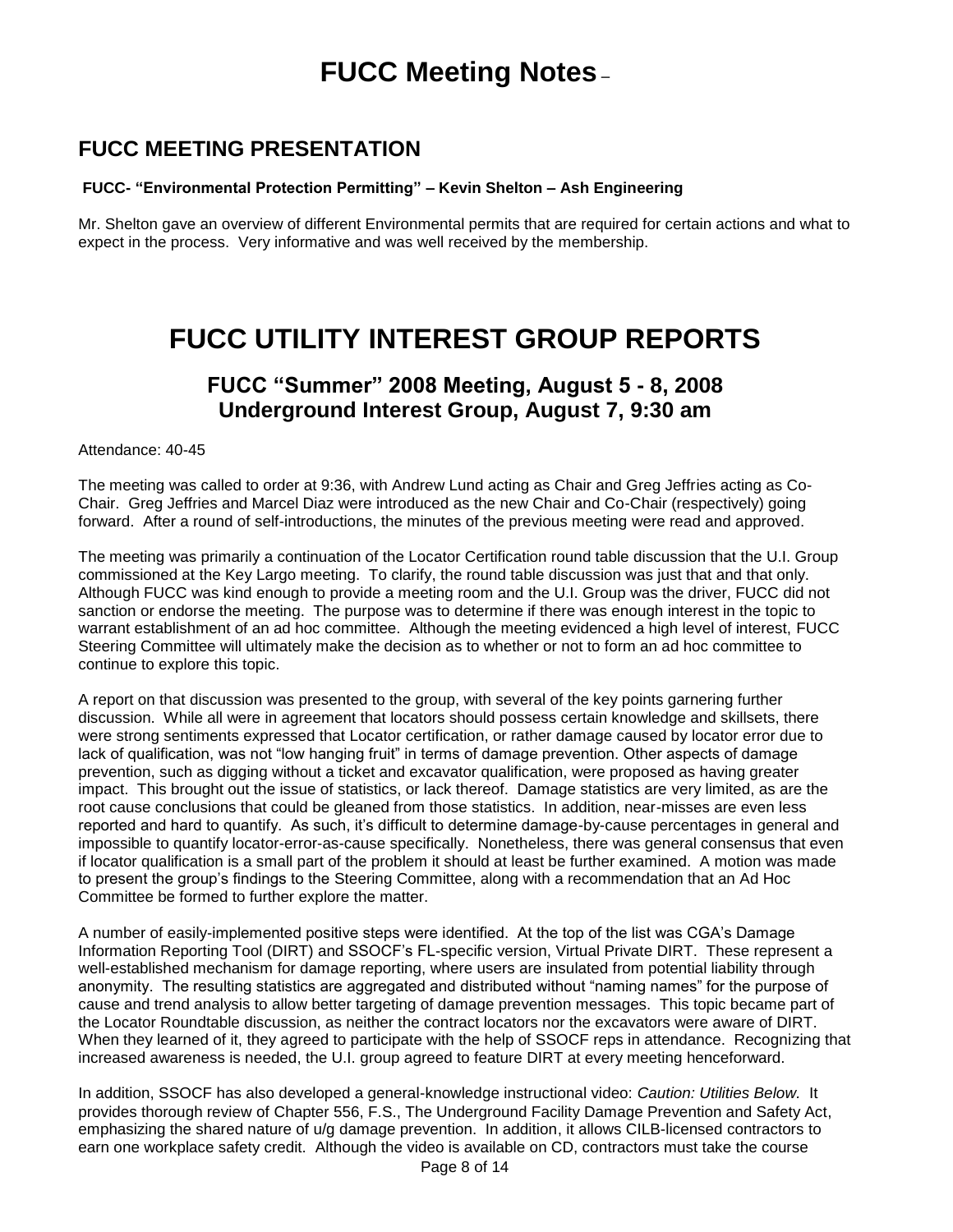### **FUCC MEETING PRESENTATION**

### **FUCC- "Environmental Protection Permitting" – Kevin Shelton – Ash Engineering**

Mr. Shelton gave an overview of different Environmental permits that are required for certain actions and what to expect in the process. Very informative and was well received by the membership.

## **FUCC UTILITY INTEREST GROUP REPORTS**

### **FUCC "Summer" 2008 Meeting, August 5 - 8, 2008 Underground Interest Group, August 7, 9:30 am**

Attendance: 40-45

The meeting was called to order at 9:36, with Andrew Lund acting as Chair and Greg Jeffries acting as Co-Chair. Greg Jeffries and Marcel Diaz were introduced as the new Chair and Co-Chair (respectively) going forward. After a round of self-introductions, the minutes of the previous meeting were read and approved.

The meeting was primarily a continuation of the Locator Certification round table discussion that the U.I. Group commissioned at the Key Largo meeting. To clarify, the round table discussion was just that and that only. Although FUCC was kind enough to provide a meeting room and the U.I. Group was the driver, FUCC did not sanction or endorse the meeting. The purpose was to determine if there was enough interest in the topic to warrant establishment of an ad hoc committee. Although the meeting evidenced a high level of interest, FUCC Steering Committee will ultimately make the decision as to whether or not to form an ad hoc committee to continue to explore this topic.

A report on that discussion was presented to the group, with several of the key points garnering further discussion. While all were in agreement that locators should possess certain knowledge and skillsets, there were strong sentiments expressed that Locator certification, or rather damage caused by locator error due to lack of qualification, was not "low hanging fruit" in terms of damage prevention. Other aspects of damage prevention, such as digging without a ticket and excavator qualification, were proposed as having greater impact. This brought out the issue of statistics, or lack thereof. Damage statistics are very limited, as are the root cause conclusions that could be gleaned from those statistics. In addition, near-misses are even less reported and hard to quantify. As such, it's difficult to determine damage-by-cause percentages in general and impossible to quantify locator-error-as-cause specifically. Nonetheless, there was general consensus that even if locator qualification is a small part of the problem it should at least be further examined. A motion was made to present the group's findings to the Steering Committee, along with a recommendation that an Ad Hoc Committee be formed to further explore the matter.

A number of easily-implemented positive steps were identified. At the top of the list was CGA's Damage Information Reporting Tool (DIRT) and SSOCF's FL-specific version, [Virtual Private DIRT.](https://www.damagereporting.org/callsunshine/control/login.do?josso_back_to=https://www.damagereporting.org/callsunshine/josso_security_check) These represent a well-established mechanism for damage reporting, where users are insulated from potential liability through anonymity. The resulting statistics are aggregated and distributed without "naming names" for the purpose of cause and trend analysis to allow better targeting of damage prevention messages. This topic became part of the Locator Roundtable discussion, as neither the contract locators nor the excavators were aware of DIRT. When they learned of it, they agreed to participate with the help of SSOCF reps in attendance. Recognizing that increased awareness is needed, the U.I. group agreed to feature DIRT at every meeting henceforward.

In addition, SSOCF has also developed a general-knowledge instructional video: *Caution: Utilities Below.* It provides thorough review of Chapter 556, F.S., The Underground Facility Damage Prevention and Safety Act, emphasizing the shared nature of u/g damage prevention. In addition, it allows CILB-licensed contractors to earn one workplace safety credit. Although the video is available on CD, contractors must take the course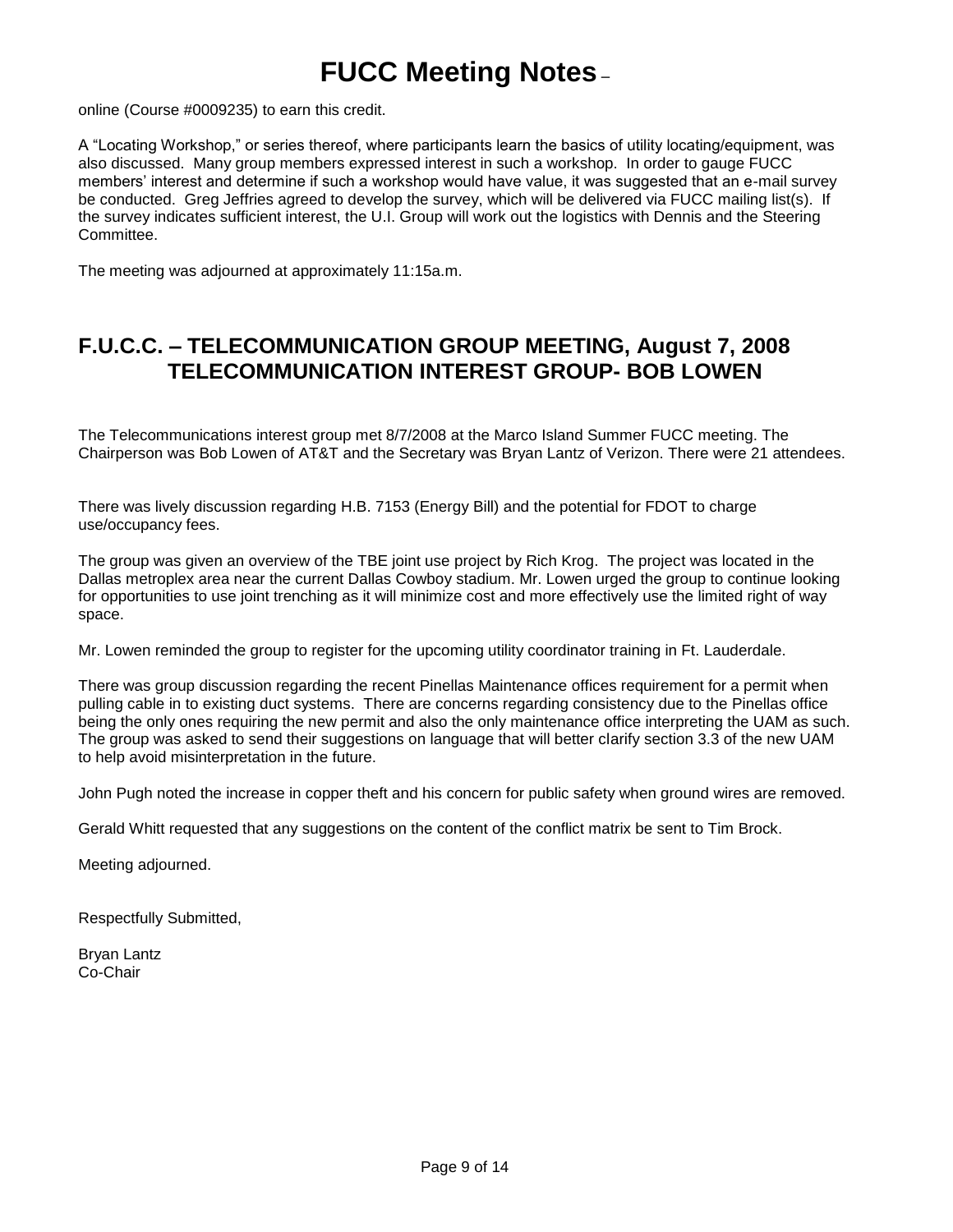online [\(Course #0009235\)](http://www.callsunshine.com/ssocof/education/cubreg.htm) to earn this credit.

A "Locating Workshop," or series thereof, where participants learn the basics of utility locating/equipment, was also discussed. Many group members expressed interest in such a workshop. In order to gauge FUCC members' interest and determine if such a workshop would have value, it was suggested that an e-mail survey be conducted. Greg Jeffries agreed to develop the survey, which will be delivered via FUCC mailing list(s). If the survey indicates sufficient interest, the U.I. Group will work out the logistics with Dennis and the Steering Committee.

The meeting was adjourned at approximately 11:15a.m.

### **F.U.C.C. – TELECOMMUNICATION GROUP MEETING, August 7, 2008 TELECOMMUNICATION INTEREST GROUP- BOB LOWEN**

The Telecommunications interest group met 8/7/2008 at the Marco Island Summer FUCC meeting. The Chairperson was Bob Lowen of AT&T and the Secretary was Bryan Lantz of Verizon. There were 21 attendees.

There was lively discussion regarding H.B. 7153 (Energy Bill) and the potential for FDOT to charge use/occupancy fees.

The group was given an overview of the TBE joint use project by Rich Krog. The project was located in the Dallas metroplex area near the current Dallas Cowboy stadium. Mr. Lowen urged the group to continue looking for opportunities to use joint trenching as it will minimize cost and more effectively use the limited right of way space.

Mr. Lowen reminded the group to register for the upcoming utility coordinator training in Ft. Lauderdale.

There was group discussion regarding the recent Pinellas Maintenance offices requirement for a permit when pulling cable in to existing duct systems. There are concerns regarding consistency due to the Pinellas office being the only ones requiring the new permit and also the only maintenance office interpreting the UAM as such. The group was asked to send their suggestions on language that will better clarify section 3.3 of the new UAM to help avoid misinterpretation in the future.

John Pugh noted the increase in copper theft and his concern for public safety when ground wires are removed.

Gerald Whitt requested that any suggestions on the content of the conflict matrix be sent to Tim Brock.

Meeting adjourned.

Respectfully Submitted,

Bryan Lantz Co-Chair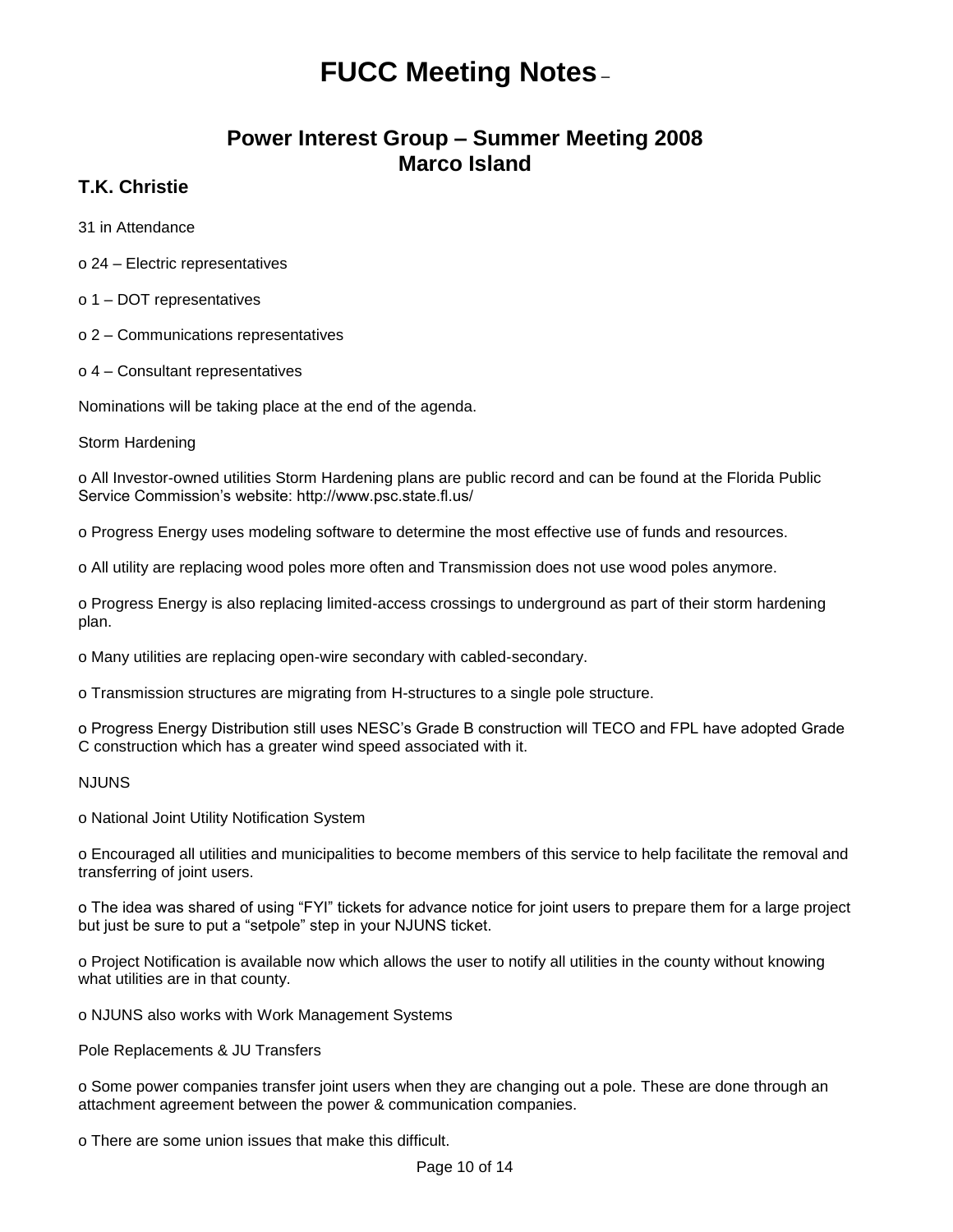### **Power Interest Group – Summer Meeting 2008 Marco Island**

### **T.K. Christie**

31 in Attendance

- o 24 Electric representatives
- o 1 DOT representatives
- o 2 Communications representatives
- o 4 Consultant representatives

Nominations will be taking place at the end of the agenda.

Storm Hardening

o All Investor-owned utilities Storm Hardening plans are public record and can be found at the Florida Public Service Commission's website: http://www.psc.state.fl.us/

o Progress Energy uses modeling software to determine the most effective use of funds and resources.

o All utility are replacing wood poles more often and Transmission does not use wood poles anymore.

o Progress Energy is also replacing limited-access crossings to underground as part of their storm hardening plan.

o Many utilities are replacing open-wire secondary with cabled-secondary.

o Transmission structures are migrating from H-structures to a single pole structure.

o Progress Energy Distribution still uses NESC's Grade B construction will TECO and FPL have adopted Grade C construction which has a greater wind speed associated with it.

### N.II INS

o National Joint Utility Notification System

o Encouraged all utilities and municipalities to become members of this service to help facilitate the removal and transferring of joint users.

o The idea was shared of using "FYI" tickets for advance notice for joint users to prepare them for a large project but just be sure to put a "setpole" step in your NJUNS ticket.

o Project Notification is available now which allows the user to notify all utilities in the county without knowing what utilities are in that county.

o NJUNS also works with Work Management Systems

Pole Replacements & JU Transfers

o Some power companies transfer joint users when they are changing out a pole. These are done through an attachment agreement between the power & communication companies.

o There are some union issues that make this difficult.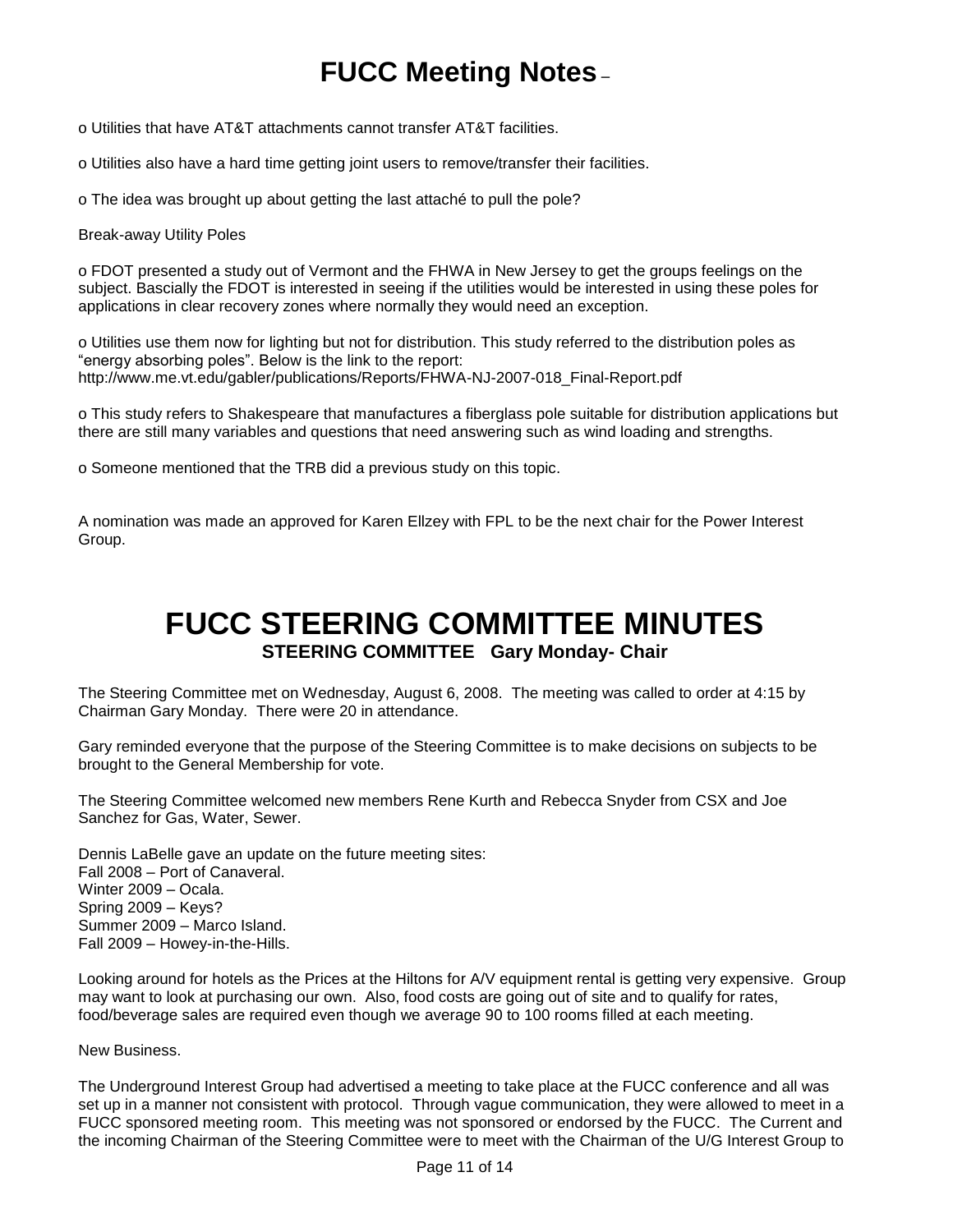o Utilities that have AT&T attachments cannot transfer AT&T facilities.

o Utilities also have a hard time getting joint users to remove/transfer their facilities.

o The idea was brought up about getting the last attaché to pull the pole?

Break-away Utility Poles

o FDOT presented a study out of Vermont and the FHWA in New Jersey to get the groups feelings on the subject. Bascially the FDOT is interested in seeing if the utilities would be interested in using these poles for applications in clear recovery zones where normally they would need an exception.

o Utilities use them now for lighting but not for distribution. This study referred to the distribution poles as "energy absorbing poles". Below is the link to the report: http://www.me.vt.edu/gabler/publications/Reports/FHWA-NJ-2007-018\_Final-Report.pdf

o This study refers to Shakespeare that manufactures a fiberglass pole suitable for distribution applications but there are still many variables and questions that need answering such as wind loading and strengths.

o Someone mentioned that the TRB did a previous study on this topic.

A nomination was made an approved for Karen Ellzey with FPL to be the next chair for the Power Interest Group.

## **FUCC STEERING COMMITTEE MINUTES STEERING COMMITTEE Gary Monday- Chair**

The Steering Committee met on Wednesday, August 6, 2008. The meeting was called to order at 4:15 by Chairman Gary Monday. There were 20 in attendance.

Gary reminded everyone that the purpose of the Steering Committee is to make decisions on subjects to be brought to the General Membership for vote.

The Steering Committee welcomed new members Rene Kurth and Rebecca Snyder from CSX and Joe Sanchez for Gas, Water, Sewer.

Dennis LaBelle gave an update on the future meeting sites: Fall 2008 – Port of Canaveral. Winter 2009 – Ocala. Spring 2009 – Keys? Summer 2009 – Marco Island. Fall 2009 – Howey-in-the-Hills.

Looking around for hotels as the Prices at the Hiltons for A/V equipment rental is getting very expensive. Group may want to look at purchasing our own. Also, food costs are going out of site and to qualify for rates, food/beverage sales are required even though we average 90 to 100 rooms filled at each meeting.

New Business.

The Underground Interest Group had advertised a meeting to take place at the FUCC conference and all was set up in a manner not consistent with protocol. Through vague communication, they were allowed to meet in a FUCC sponsored meeting room. This meeting was not sponsored or endorsed by the FUCC. The Current and the incoming Chairman of the Steering Committee were to meet with the Chairman of the U/G Interest Group to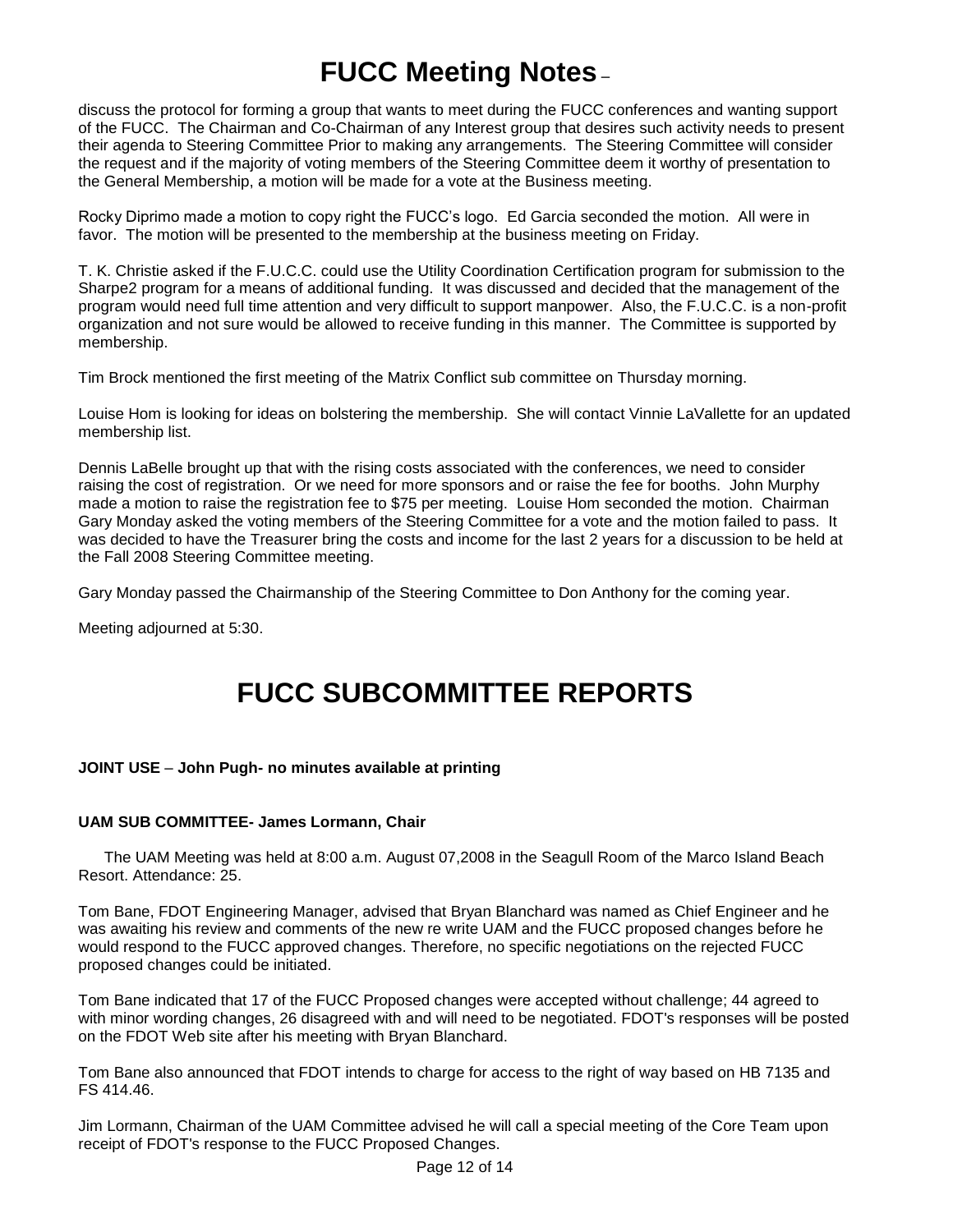discuss the protocol for forming a group that wants to meet during the FUCC conferences and wanting support of the FUCC. The Chairman and Co-Chairman of any Interest group that desires such activity needs to present their agenda to Steering Committee Prior to making any arrangements. The Steering Committee will consider the request and if the majority of voting members of the Steering Committee deem it worthy of presentation to the General Membership, a motion will be made for a vote at the Business meeting.

Rocky Diprimo made a motion to copy right the FUCC's logo. Ed Garcia seconded the motion. All were in favor. The motion will be presented to the membership at the business meeting on Friday.

T. K. Christie asked if the F.U.C.C. could use the Utility Coordination Certification program for submission to the Sharpe2 program for a means of additional funding. It was discussed and decided that the management of the program would need full time attention and very difficult to support manpower. Also, the F.U.C.C. is a non-profit organization and not sure would be allowed to receive funding in this manner. The Committee is supported by membership.

Tim Brock mentioned the first meeting of the Matrix Conflict sub committee on Thursday morning.

Louise Hom is looking for ideas on bolstering the membership. She will contact Vinnie LaVallette for an updated membership list.

Dennis LaBelle brought up that with the rising costs associated with the conferences, we need to consider raising the cost of registration. Or we need for more sponsors and or raise the fee for booths. John Murphy made a motion to raise the registration fee to \$75 per meeting. Louise Hom seconded the motion. Chairman Gary Monday asked the voting members of the Steering Committee for a vote and the motion failed to pass. It was decided to have the Treasurer bring the costs and income for the last 2 years for a discussion to be held at the Fall 2008 Steering Committee meeting.

Gary Monday passed the Chairmanship of the Steering Committee to Don Anthony for the coming year.

Meeting adjourned at 5:30.

## **FUCC SUBCOMMITTEE REPORTS**

### **JOINT USE** – **John Pugh- no minutes available at printing**

### **UAM SUB COMMITTEE- James Lormann, Chair**

 The UAM Meeting was held at 8:00 a.m. August 07,2008 in the Seagull Room of the Marco Island Beach Resort. Attendance: 25.

Tom Bane, FDOT Engineering Manager, advised that Bryan Blanchard was named as Chief Engineer and he was awaiting his review and comments of the new re write UAM and the FUCC proposed changes before he would respond to the FUCC approved changes. Therefore, no specific negotiations on the rejected FUCC proposed changes could be initiated.

Tom Bane indicated that 17 of the FUCC Proposed changes were accepted without challenge; 44 agreed to with minor wording changes, 26 disagreed with and will need to be negotiated. FDOT's responses will be posted on the FDOT Web site after his meeting with Bryan Blanchard.

Tom Bane also announced that FDOT intends to charge for access to the right of way based on HB 7135 and FS 414.46.

Jim Lormann, Chairman of the UAM Committee advised he will call a special meeting of the Core Team upon receipt of FDOT's response to the FUCC Proposed Changes.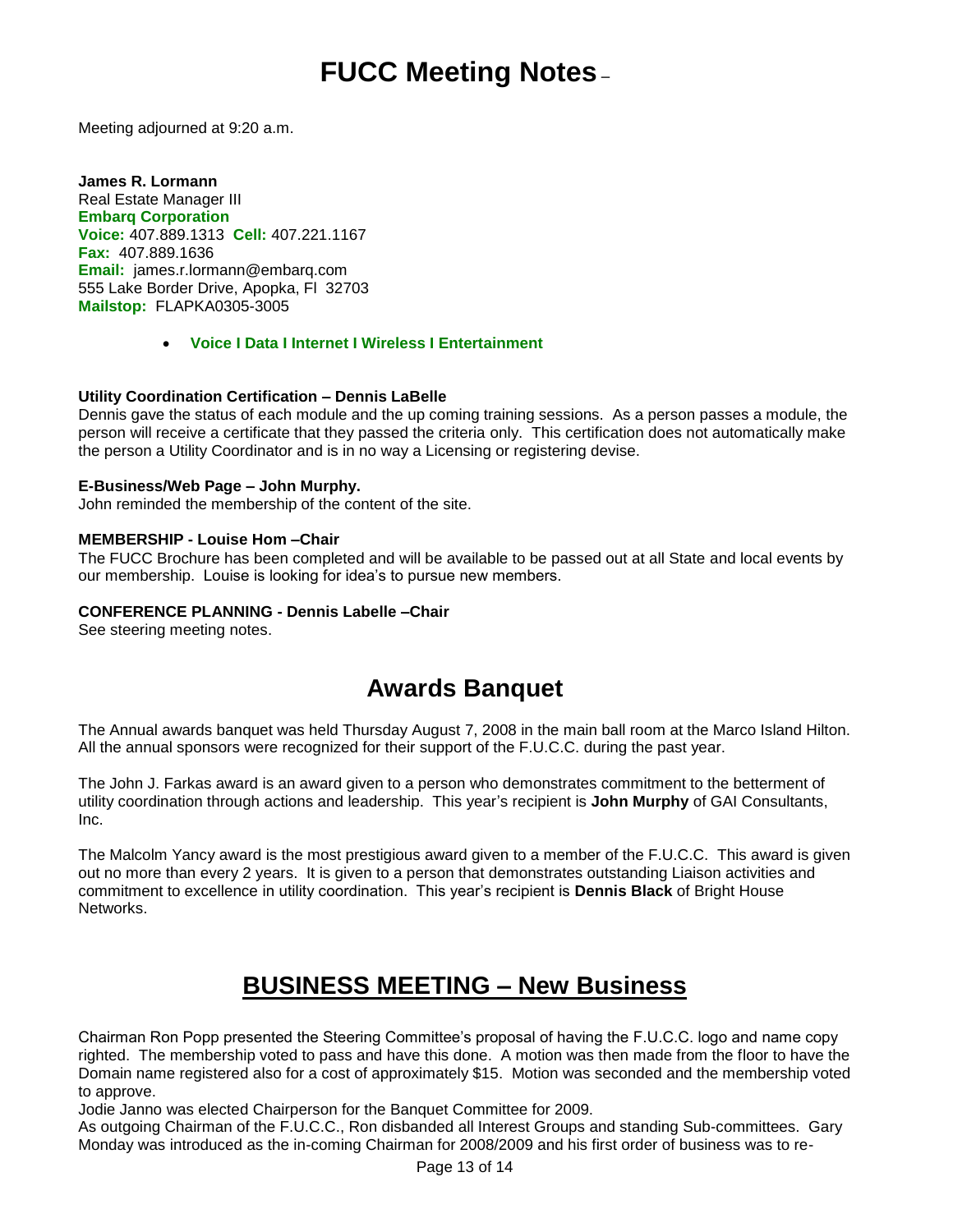Meeting adjourned at 9:20 a.m.

**James R. Lormann** Real Estate Manager III **Embarq Corporation Voice:** 407.889.1313 **Cell:** 407.221.1167 **Fax:** 407.889.1636 **Email:** [james.r.lormann@embarq.com](mailto:james.r.lormann@embarq.com) 555 Lake Border Drive, Apopka, Fl 32703 **Mailstop:** FLAPKA0305-3005

### **Voice I Data I Internet I Wireless I Entertainment**

### **Utility Coordination Certification – Dennis LaBelle**

Dennis gave the status of each module and the up coming training sessions. As a person passes a module, the person will receive a certificate that they passed the criteria only. This certification does not automatically make the person a Utility Coordinator and is in no way a Licensing or registering devise.

### **E-Business/Web Page – John Murphy.**

John reminded the membership of the content of the site.

### **MEMBERSHIP - Louise Hom –Chair**

The FUCC Brochure has been completed and will be available to be passed out at all State and local events by our membership. Louise is looking for idea's to pursue new members.

### **CONFERENCE PLANNING - Dennis Labelle –Chair**

See steering meeting notes.

## **Awards Banquet**

The Annual awards banquet was held Thursday August 7, 2008 in the main ball room at the Marco Island Hilton. All the annual sponsors were recognized for their support of the F.U.C.C. during the past year.

The John J. Farkas award is an award given to a person who demonstrates commitment to the betterment of utility coordination through actions and leadership. This year's recipient is **John Murphy** of GAI Consultants, Inc.

The Malcolm Yancy award is the most prestigious award given to a member of the F.U.C.C. This award is given out no more than every 2 years. It is given to a person that demonstrates outstanding Liaison activities and commitment to excellence in utility coordination. This year's recipient is **Dennis Black** of Bright House Networks.

## **BUSINESS MEETING – New Business**

Chairman Ron Popp presented the Steering Committee's proposal of having the F.U.C.C. logo and name copy righted. The membership voted to pass and have this done. A motion was then made from the floor to have the Domain name registered also for a cost of approximately \$15. Motion was seconded and the membership voted to approve.

Jodie Janno was elected Chairperson for the Banquet Committee for 2009.

As outgoing Chairman of the F.U.C.C., Ron disbanded all Interest Groups and standing Sub-committees. Gary Monday was introduced as the in-coming Chairman for 2008/2009 and his first order of business was to re-